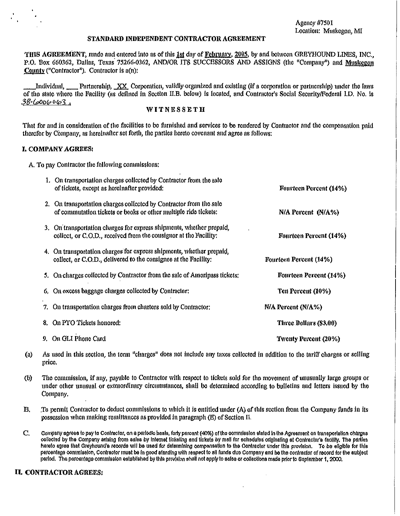Agency #7501 Location: Muskegon, MI

# STANDARD INDEPENDENT CONTRACTOR AGREEMENT

THIS AGREEMENT, made and entered into as of this 1st day of February, 2005, by and between GREYHOUND LINES, INC., P.O. Box 660362, Dallas, Texas 75266-0362, AND/OR ITS SUCCESSORS AND ASSIGNS (the "Company") and Muskegon County ("Contractor"). Contractor is a(n):

Individual, Partnership, XX Corporation, validly organized and existing (if a corporation or partnership) under the laws of the state where the Facility (as defined in Section II.B. below) is located, and Contractor's Social Security/Federal I.D. No. is  $38-(6006063)$ 

# **WITNESSETH**

Timt for and in consideration of the facilities to be fhrnished and services to be rendered by Contractor and the compensation paid therefor by Company, as hereinafter set forth, the parties hereto covenant and agree as follows:

# I, COMPANY AGREES:

A. To pay Contractor the following commissions:

| 1. On transportation charges collected by Contractor from the sale<br>of tickets, except as hereinafter provided:                        | Fourteen Percent (14%)  |
|------------------------------------------------------------------------------------------------------------------------------------------|-------------------------|
| 2. On transportation charges collected by Contractor from the sale<br>of commutation tickets or books or other multiple ride tickets:    | $N/A$ Percent $(N/A\%)$ |
| 3. On transportation charges for express shipments, whether prepaid,<br>collect, or C.O.D., received from the consignor at the Facility: | Fourteen Percent (14%)  |
| 4. On transportation charges for express shipments, whether prepaid,<br>collect, or C.O.D., delivered to the consignee at the Facility:  | Fourteen Percent (14%)  |
| 5. On charges collected by Contractor from the sale of Ameripass tickets:                                                                | Fourteen Percent (14%)  |
| 6. On excess baggage charges collected by Contractor:                                                                                    | Ten Percent (10%)       |
| 7. On transportation charges from charters sold by Contractor:                                                                           | N/A Percent (N/A%)      |
| 8. On PTO Tickets honored:                                                                                                               | Three Dollars (\$3.00)  |
| 9. On GLI Phone Card                                                                                                                     | Twenty Percent (20%)    |

- (a) As used in thls section, the term "charges" does not include any taxes collected in addition to the tariff charges or seltfug price.
- (b) The commission, if any, payable to Contractor with respect to tickets sold for the movement of IUlUSually large groups or under other unusual or extraordinary circumstances, shall be determined according to bulletins aud letters issued by the Company.
- B. To permit Contractor to deduct commissions to which it is entitled under (A) of this section from the Company funds in its possession when making remittances *as* provided in paragraph (E) of Sectiou IT.
- C. Company agrees to pay to Contractor, on a periodic basis, forty percent (40%) of the commission stated in the Agreement on transportation charges collected by the Company arising from sales by internet ticketing and tickets by mall for schedules originating at Contractor's facility. The parties hereto agree that Greyhound's records will be used for determining compensation to the Contractor under this provision. To be eligible for this percentage commission, Contractor must be in good standing with respect to all funds due Company and be the contractor of record for the subject period. The percentage commission established by this provision shall not apply to sales or collections made prior to September 1, 2000.

# U. CONTRACTOR AGREES: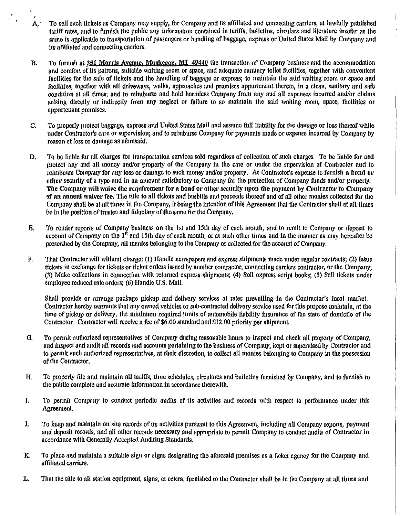A,· To sell such tickets as Company may supply, for Company and its affillated and connecting carriers, at lawfully published tariff rates, and to furnish the public any information contained in tariffs, bulletins, circulars and literature insofar as the same is applicable to transportation of passengers or handling of baggage, express or United States Mall by Company and its affilinted and connecting carriers.

 $\mathcal{F}_{\mathcal{A}}$  .

- B. To furnish at 351 Morris Ayenue, Muslegon, MI 49440 the transaction of Company business and the accommodation and comfort of its patrons, suitable waiting room or space, and adequate sanitary toilet facilities, together with convenient facilities for the sale of tickets and the handling of baggage or express; to maintain the said waiting room or space and facilities, together with all driveways, walks, approaches and premises appurtenant thereto, in a clean, sanitary and safe condition at all times; and to reimburse and hold harmless Company from any and all expenses incurred and/or claims arising directly or indirectly from any neglect or failure to so maintain the said waiting room, space, facilities or appurtenant premises.
- C. To properly protect baggage, express and United States Mail and assume full liability for the damage or loss thereof while under Contractor's care or supervision; and to reimburse Company for payments made or expense incurred by Company by reason of loss or damage as aforesaid.
- D. To be liable for all charges for transportation services sold regardless of collection of such charges. To be Hable for and protect any and all money and/or property of the Company in the care or under the supervision of Contractor and to reimburse Company for any loss or damage to such money and/or property. At Contractor's expense to furnish a bond or otber security of a type and in an amount satisfactory to Company for the protection of Company fltnds and/or property. The Company will waive the requirement for a bond or other security upon the payment by Contractor to Company of an annual waiver fee. The title to all tickets and busbills and proceeds thereof and of all other monies collected for the Company shall be at all times in the Company, it being the intention of this Agreement that the Contractor shall at all times be in the position of trustee and fiduciary of the same for the Company.
- E. To render reports of Companr business on the 1st and 15th day of each month, and to remit to Company or deposit to account of Company on the  $1<sup>th</sup>$  and 15th day of each month, or at such other times and in the manner as may hereafter be prescribed by the Company, all monies belonging to the Company or collected for the account of Company.
- F. That Contractor will without charge: (1) Handle newspapers and express shipments made under regular contracts; (2) Issue tickets in exchange for tickets or ticket orders issued by another contractor, connecting carriers contmctor, or the Company; (3) Make collections in connection with returned express shipments; (4) Sell express script books; (5) Sell tickets under employee reduced rate orders; (6) Handle U.S. Mail.

Shall provide or arrange package pickup and delivery services at rates prevailing in the Contractor's local market. Contractor hereby warrants that any owned yehlcles or sub-contracted delivery service used for this purpose mahttain, at the time of pickup or delivery, the nunimum required limits of automobile liability insurance of the state of domicile of the Contractor. Contractor wlll receive a fee of \$6.00 standard and \$12.00 priority per shipment.

- G. To permit authorized representatives of Company during reasonable hours to inspect and check all property of Company, and inspect and audit all records and accounts pertaining to the business of Company, kept or supervised by Contractor and to permit such authorized representatives, at their discretion, to collect all monies belonging to Company in the possession of the Contractor.
- H. To proporly file and maintain all tariffs, time schedules, circulares and builetins furnished by Company, and to furnish to the public complete and accurate information in accordance therewith.
- J. To permit Company to conduct periodic audits of its activities and records with respect to performance under this Agreement.
- J. To keep and maintain on site records of its activities pursuant to this Agreement, including all Company reports, paymeut and deposit records, and nll other records necessary and appropriate to perntit Company to conduct audits of Contractor in accordance with Generally Accepted Auditing Standards.
- K. To place and maintain a suitable sign or signs designating the aforesaid premises as a ticket agency for the Company and affiliated carriers.
- L. That the title to all station equipment, signs, et cetera, furnished to the Contractor shall be in the Company at all times and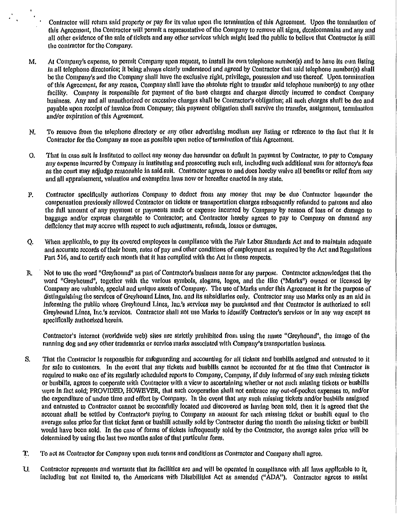Contractor will return said property or pay for its value upon the termination of this Agreement. Upon the termination of this Agreement, the Contractor will permit a representative of the Company to remove all signs, decalcomanias and any and all other evidenee of the sale of tickets and any other serviees which ntlght lead the public to believe that Contractor is still the contractor for the Company.

- M. At Company's expense, to permit Company upon request, to install its own telephone number(s) and to have its own listing In all telephone directories; It being always clearly understood and agreed by Contractor that said telephone number(s) shall be the Company's and the Company shall have the exclusive right, privilege, possession and use thereof. Upon termination of this Agreement, for any reason, Company shall have the absolute right to transfer said telephone number(s) to any other facility. Company is responsible for payment of the base charges and charges directly incurred to conduct Company business. Any and all unauthorized or exeesslve charges shall be Contractor's obligation; all such charges shall be due and payable upon receipt of invoice from Company; this payment obligation shall survive the transfer, assignment, termination and/or expiration of this Agreement.
- N. To remove from the telephone directory or any other advertising medium any listing or reference to the fact that it is Contractor for the Company as soon as possible upon notice of termination of this Agreement.
- 0. That In case suit is instituted to collect any money due hereunder on deflm!t in payment by Contractor, to pay to Company any expense Incurred by Company ln Instituting and prosecuting suclt suit, including such additional sum for attorney's fees as the court may adjudge reasonable in said suit. Contractor agrees to and does hereby waive all benefits or relief from any and all appraisement, valuation and exemption laws now or hereafter enacted in any state.
- P. Contractor specifically authorizes Company to deduct from any money tlmt may be dne Contractor hereunder the compensation previously allowed Contractor on tickets or transportation charges subsequently refunded to patrons and also the f11ll amount of any payment or payments made or expense incurred by Company by reason of loss of or damage to baggage and/or express chargeable to Contractor; and Contractor hereby agrees to pay to Compauy on demand any deficiency that may accrue with respect to such aqjustments, refunds, losses or damages,
- Q. When applicable, to pay its covered employees in compliance with the Fair Labor Standards Act and to maintain adequate and accurate records of their hours, rates of pay and other conditions of employment as required by the Act and Regulations Part 516, and to certify each month that it has complied with the Act in those respects.
- R. Not to use the word "Greyhound" as part of Contractor's business name for any purpose. Contractor acknowledges that the word "Greyhound", together with the various symbols, slogans, logos, and the like ("Marks") owned or licensed by Company are valuable, special and unique assets of Company. The use of Marks under this Agreement is for the purpose of distinguishing the services of Greylwund Lines, Inc. and its subsidiaries only. Contractor may use Marks only as an aid in informing the public where Greyhound Lines, Inc.'s *sen•lees* may be purchased and that Contractor is authorized to sell Greyhound Lines, Inc.'s services. Contractor shall not use Marks to identify Contractor's services or in any way except as specifically authorized herein.

Contractor's internet (worldwide web) sites are strictly prohibited from using the name "Greyhound", the image of the running dog and any other trademarks or service marks associated with Company's transportation business.

- S. That the Contractor is responsible for safeguarding and accounting for all tickets and busbills assigned and entrusted to it for *sale* to customers. In the event that a1ty tickets and busbllls cannot be accounted for at the time that Contractor is required to make one of its regularly scheduled reports to Company, Company, If duly informed of any such missing tickets or busbills, agrees to cooperate with Contractor with a view to ascertaining whether or not such missing tickets or busbills were in fact sold; PROVIDED, HOWEVER, that such cooperation shall not embrace any out-of-pocket expenses to, and/or the expenditure of undue time aud effort by Company. In the event that any such missing tickets and/or busbills assigned and entrusted to Contractor cannot be successfully located and discovered as having been sold, then it is agreed that the account shall be settled by Contractor's paying to Company an amount for each missing ticket or busbill equal to the average sales price for that ticket form or busbill actually sold by Contractor during the month the missing ticket or busbill would have been sold. In the case of forms of tickets infrequently sold by the Contractor, the average sales price wlll be determined by using the last two months sales of that particular form.
- T. To act as Contractor for Company upon such terms and conditious as Contractor and Company shall agree.
- U. Contractor represents and warrants that Its facilities are aud will be operated in compliance with all laws applicable to it, including but not limited to, the Americans with Disabilities Act as amended ("ADA"). Contractor agrees to assist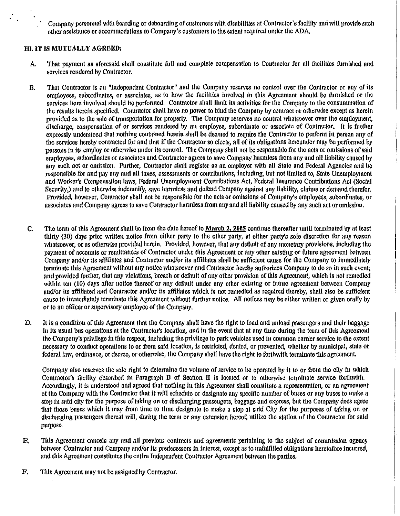Company personnel with boarding or deboardlng of customers with disabilities at Contractor's facility and will provide such other assistance or accommodations to Company's customers to the extent required under tlte ADA.

# m. IT IS MUTUALLY AGREED:

- A. That payment as aforesaid shall constitute full and complete compensation to Contractor for all facilities furnished and services rendered by Contractor.
- B. That Contractor is an "Independent Contractor" and the Company reserves no control over the Contractor or any of its employees, subordinates, or associates, as to how the facilities involved in this Agreement should be furnished or the services here involved should be performed. Contractor shall limit its activities for the Company to the consummation of the results herein specified. Contractor shall have no power to bind the Company by contract or othenvlse except as herein provided as to the sale of transportation for properly. The Company reserves no control whatsoever over the employment, discharge, compensation of or services rendered by an employee, subordinate or associate of Contractor. It is further expressly understood that nothing contained herein shall be deemed to require the Contractor to perform in person any of the services hereby contracted for and that if the Contractor so elects, all of its obligations hereunder may be perfonued by persons in its employ or otherwise under its control. The Company shall not be responsible for the acts or omissions of said employees, subordinates or associates and Contractor agrees to save Company hannless from any and all Uabillty caused by any such act or omission. Further, Contractor shall register as an employer with all State and Federal Agencies and be responsible for and pay any and all taxes, assessments or contributions, including, but not limited to, State Unemployment and Worker's Compensation laws, Federal Unemployment Contributions Act, Federal Insurance Contributions Act (Social Security,) and to otherwise indemnify, save harmless and defend Company against any liability, claims or demand therefor. Provided, however, Contractor shall not be responsible for the acts or omissions of Company's employees, subordinates, or associates and Company agrees to save Contractor harmless from any and all !lability caused by any such act or omission.
- C. The term of this Agreement shall be from the date hereof to March 2, 2005 continue thereafter until terminated by at least tllirty (30) days prior written notice from either party to the other party, at either party's solo discretion for any reason whatsoever, or as otherwise provided herein. Provided, however, that any default of any monetary provisions, including the payment of accounts or remittances of Contractor under this Agreement or any other existing or future agreement between Company and/or its affiliates and Contractor and/or its affiliates shall be sufficieut cause for the Company to immediately terminate this Agreement without any notice whatsoever and Contractor hereby authorizes Company to do so in such event; and provided further, that any violations, breach or default of any other provision of this Agreement, which is not remedied within ten (10) days after notice thereof or any default under any other existing or future agreement between Company and/or its affiliated and Contractor and/or its affiliates which is not remedied as required thereby, shall also be sufficient cause to immediately ternlinate tills Agreement without further notice. All notices may be either written or given orally by or to an officer or supervisory employee oft he Company.
- D. It is a condition of this Agreement that the Company shall have the right to load and unload passengers and their baggage in its usual bus operations at the Contractor's location, and in the event that at any time during the term of this Agreement the Company's privilege in this respect, including the privilege to park vehicles used in common carrier service to the extent necessary to conduct operations to or from said location, is restricted, denied, or prevented, whether by numlclpal, state or federal law, ordinance, or decree, or othenvlse, the Company shall have the right to fortluvith ternlinate this agreement.

Company also reserves the sole right to determine the volume of service to be operated by it to or from the city in which Contractor's facllity described in Paragraph B of Section II is located or to othenvise terntinate service forthwith. Accordingly, it is understood and agreed that nothing in tills Agreement shall constitute a representation, or an agreement of the Company with the Contractor that it will schedule or designate any specific number of buses or any buses to make a stop in said city for the purpose of taking on or discharging passengers, baggage and express, but the Company does agree that those buses which it may front time to time designate to make a stop at said City for the purposes of taking on or discharging passengers thereat will, during the term or any extension hereof, utilize the station of the Contractor for said purpose.

- E. This Agreement cancels any and all previous contracts and agreements pertaining to the subject of commission agency between Contractor and Company and/or its predecessors in interest, except as to unfulfilled obligations heretofore incurred, and this Agreement constitutes the entire Independent Contractor Agreement between the parties.
- F. Tltis Agreement may not be assigned by Contractor.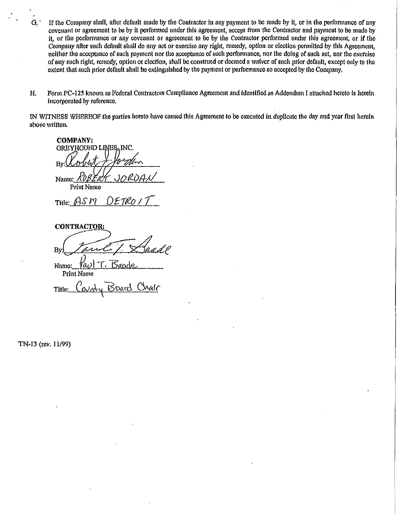- G. 'If the Company shall, after default made by the Contractor in any payment to be made by it, or in the performance of any covenant or agreement to be by it performed under this agreement, accept from the Contractor and payment to be made by it, or the performance or any covenant or agreement to be by the Contractor performed under tlus agreement, or if the Company after such defimlt shall do any act or exercise any right, remedy, option or election permitted by this Agreement, neither the acceptance of such payment nor the acceptance of such performance, nor the doing of such act, nor the exercise of any such right, remedy, option or election, shall be coustmed or deemed a waiver of such prior default, except only to the extent that such prior default shall be extinguished by the payment or performance so accepted by the Company.
- H. Form PC-125 known as Federal Contractors Compliance Agreement and identified as Addendum I attached hereto is herein incorporated by reference.

IN WITNESS WHEREOF the parties hereto have caused this Agreement to be executed in duplicate the day and year first herein above written.

**COMPANY: GREYHOUND LINES**  $\overline{\mathbf{B}}$ Name:

Print Name<br>Title: *f*AS *i*<sup>7</sup>

**CONTRACTOR:** 

By Tank ! Deadl

Name: Print Name

 $T$ itle:  $Couch_{\mathcal{U}}$  Board Chalc

TN-13 (rev. 11/99)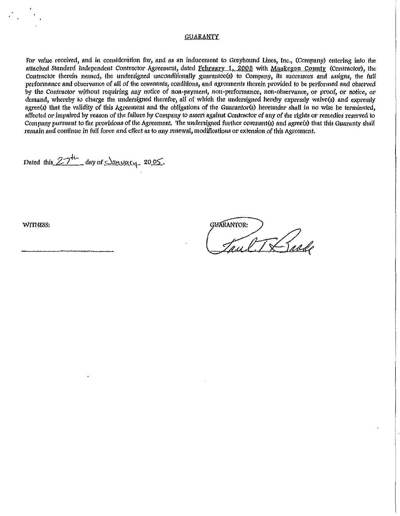# GOARAN'fY

For value received, and in consideration for, and as an inducement to Greyhound Lines, Inc., (Company) entering into the attached Standard Independent Contractor Agreement, dated February 1, 2006 with Muskegon County (Contractor), the Contractor therein named, the undersigned unconditionally guarantee(s) to Company, its successors and assigns, the full performance and observance of all of the covenants, conditions, and agreements therein provided to be performed and observed by the Contractor without requiring any notice of non-payment, non-performance, non-observance, or proof, or notice, or demand, whereby to charge the undersigned therefor, all of which the undersigned hereby expressly waive(s) and expressly agree(s) that the validity of this Agreement and the obligations of the Guarantor(s) heretmder shall in no wise be terminated, affected or impaired by reason of the failure by Company to assert against Contractor of any of the rights or remedies reserved to Company pursuant to the provisions of the Agreement. The undersigned further covenant(s) and agree(s) that this Guaranty shall remain and continue in full force and effect as to any renewal, modifications or extension of this Agreement.

Dated this 27th day of <u>January</u> 2005.

WITNESS:

**GUARANTOR:** met TX raad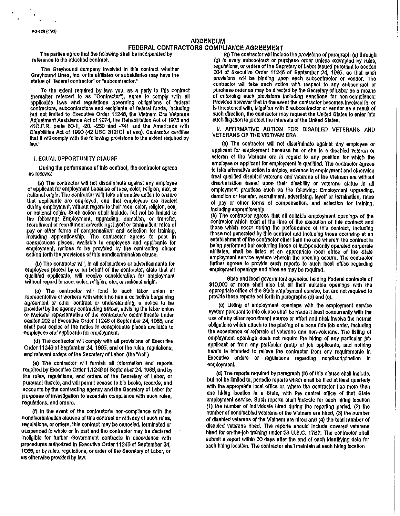### ADDENDUM

# FEDERAL CONTRACTORS COMPLIANCE AGREEMENT<br>The parties agree that the following shall be incorporated by (a) The contractor will inclu

The Greyhound company InvolVed In this contract whether Greyhound lines, Inc. *or* lis affiliates or subsidiaries may have lhe status of "federal contractor" or "eubcontractor."

To the extent required by law, you, as a party to this contract (hereafter referred to as "Contractor"), agree to comply with all applicable laws and ragulations governing obligations or federal contractors, eubcontractors and recipients of federal funds, including but not limited to Executive Order 11246, the Vietnam Era Veterans. Adjustment Assistance Act of 1974, the Rehabilitation Aot of 1973 end 41 C.F.R. parte 60-1, -20. -250 and -741 and the Americans with Disabilities Act of 1990 (42 USC 312101 et seq). Contractor cartifies that it will comply vath the following provisions to the extent required by **raw."** 

### I. EQUAL OPPORTUNITY CLAUSE

During the performance of this contract, the contractor agrees as follows:

(a) The contractor will not discriminate against any employee or applloant for employment because or race, color, religion, sex, or national origin. The contractor will) take affirmative action to ensure that applicants are employed, and that employees are !rested durtng employment, vAlhout regard to lhelr race, color, religion, sex, *or* nallonal ortgln. SUch act/on shall Include, but nol be limited to the following: Employment, upgrading, demotion, or transfer, recruitment or recruitment advertising; layoff or terminalion: rates of pay or other forms of compenaallon: and selection for training, lno!udlng apprenticeship. The contraotor agrees to post In conspicuous places, available to employees and applicants for employment, notices to be provided by the contracting officer setting forth the provisions of this nondiscrimination clause.

(b) The contractor 1Yfll, In all soltcttations *or* advertlsemenls for employees placed by or on behalf of the contractor, atate that all quaiiRed appllcente, will receive consideration for employment without regard to race, color, religion, sex, or national origin.

(c) The conlractor will lend to each labor union or representetive of workers with which he has a collective bargaining agreement or other contract or understanding, a notice to be provided by the agency contracting officer, advising the tabor union or workers' representative of the contractor's commitmente under seolion 202 of Executive Order 11246 of September 24, 1965, and shall post copies of the notice in conspicuous piaces available to amployeee and applloants for employment.

(d) The contractor will comply with all provisione of Executive Order 11246 of September 24. 1005, end of the rulee, regulaflons, and retevanl orders of lila Secretary of labor. (the "Act")

(e) The contractor will furnish all information end reports required by Executive Order 1.1246 of September 24. 1965, and by the rules, regulations, and orders of the Seorelary of Lebor, or pursuant thereto, and will permit access to his books, records, and accounts by the contracting agency and the Secretory of Labor for purposes of lnvesllgallon to ascertain compliance with suoh rules, regulations, and orders.

(f) in the event of the contractor's non-compilance with the nondiscrimination clauses of this contract or with any of euch rules. regulations, or orders, this contract may be canceled, terminated or suspended in whole or in part and the contractor may be declared Ineligible for further Government contracts in accordance with procedures authorized In Executive Order 11248 of September 24, 1965, or by rules, ragulallons, or order of the Secretary or Laber, or as olhetwlse provided by law.

The parties agree that the following shall be incorporated by (g) The contractor will include the provisions of paragraph (a) through<br>
(a) In every subcontract or purchase order unless exempted by rules. (g) In every subcontract or purchase order unless exempted by rules, regulations, or orders of the Secretary of Labor Issued pursuant to section 204 of Executive Order 11246 of September 24, 1005, so that such provisions will be binding upon each subcontraotor or vendor. The contractor will take such action with respect to any subcontract or purchase order as may be directed by the Secretary of Labor as a means of enforcing such provisions Including sanctions for non-compliance: Provided however that in the event the contractor becomes involved in, or Is threatened with, illigation with 8 subcontractor or vendor as a result of such direction, the contractor may request the United States to enter into such illigation to protect the interests of the United Slates,

### II. AFFIRMATIVE ACTION FOR DISABLED VETERANS AND VETERANS OF THE VIETNAM ERA

(a) The contractor will not discriminate against any employee or applicant for employment bscause he or she Is a dtesbled veteran or veteran of the Vietnam era in regard to any position for which the employee or applicant for employment is qualified. The contractor agrees to take affirmative action to employ, advance in employment and otherwise treat qualified dlsablsd veterans end veterans of the Vietnam era without dlscrtmlnallon based upon their disability or veterans status In all employment practices euch as the following: Employment upgrading, demotion or transfer, recruitment, advertising, layoff or termination, rates of pay or other forms of compensation, and selection for training, Including apprenllcashtp. .

(b) The contractor agrees that all suitable employment openings of the contractor which extst at the lime of the execution or this contract and those which ooour during the performance of this contract, Including those not generated by this contract and Including those occurring at an establishment of the contractor other than the one wherein the contract is being performed but exCluding those or lndspendenlly operated corporate affiliates, shall ba listed at an appropriate local office or the Stale employment service eyetem wherein the opening occure. The contractor further agrees to provide such reports to such local office regarding employmenl openings and hires as may be required.

state and local government agencies belding Federal contracts or \$10,000 or more shall also list all their suitable openings with the appropriate offica or the Stale employment service, but are not required to provide those reporte set forth in paragraphs (d) and (e).

(c) Lieting of employment openinge with the employment eervice system pursuant to this clause shall be made it least concurrently with the use of any other recruitment source or effort and shall involve the normal obligatione which attach to the placing of a bona fide fob order, including the acceptance of referrale of veterans and non-veterane. The listing of employment openings does not require the hiring of any particular job applicant or from any particular group of job applicante, and nothing herein is intended to relieve the contractor from any requiremente in Executive ordere or regulations regarding nondiscrimination in employmant.

(d) The reports required by paragraph (b) of this clause shall Include, but not be limited to, periodic reports which shall be filed at least quarterly with the appropriate local office or, where the contractor has more than one hiring location in a State, with the central office of that State employment service. Such reports shall indicate for each hiring location (1) the number or lndMduale hired during the reporting pertod. (2) the number or nondlsabted valerana or the Vietnam era hired, (3) lhe number or disabled veterans or the Vietnam era hired and (4) the total number or disabled veterans hired. The reports should include covered veterans hired for on-the-job training under 38 U.S.C. 1787. The contractor shall submit a report within 30 days after the end of each identifying data for each hiring location. The contractor shall meintain at each hiring location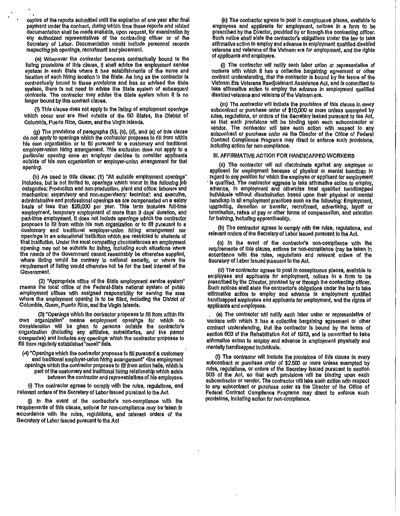copies of the reports submitted until the expiration of one year after final payment under the contract, during which lime these reports and related documentation shall be made available, upon request, for examlnallon by any authorized representatives of the contracting officer or of the Secretary of Labor. Documentation would include personnel records respecting job openings, recruitment and placement.

(e) Whenever the contractor becomes conlraotually bound to the listing provisions of this clause, it shall advise the employment service system in each State where it has establishments of the name and location of each hiring location In the State. As long as the contractor Is contractually bound to these provisions and has so advised the State system, there Is not need to advise the State system of subsequent contracts. The contractor may advise the State system when H Is no longer bound by this contract clause.

(f) This clause does not apply to the listing or employment openings which occur and are filled outside of the 60 States, the District of Columbia, Puerto Rico, Guam, and the Virgin Islands.

(g) The provisions or paragraphs (b); (o), (d), and (e) of this clause do not apply to openinge which the contractor proposes to fill from within his own organization or to fill pureuant to a customary and traditional employer-union hlrtng arrangement. This exclusion does not apply to a particular opening once an employer decides to consider applicants outside of his own organization or employer·unlon arrangement for that opening.

(h) As used In this clause: (1) "All eullable employment openings" includes, but is not limited to, openings which occur in the following job oategortes: Production and non·productlon, plant and office: laborers and mechanics: supervisory and non·suparvisory: teohnloal: and executive, administrative and professional openings as are compensated on a salary basis of less than \$26,000 psr year. This term Includes full·llme employment, temporary employment of more than 3 days' duration, and part·tlme employment. It does not lnolude openings which the conlractor proposes to fill from within his own organization or to fill pursuant to a customary and traditional employer-union hiring arrangement nor openings In an educational Institution whloh .are restricted to students or that institution. Under the most compelling circumstances an employment opening may not be suitable for listing, including euch elluations where the needs of the Government cannot reasonably be otherwise supplied, where listing would be contrary to national security, or where the requirement or listing would otherwise not be for the best Interest of the Government.

(2) "Approprfale office or the State employment service system" means the local office of the Federal-State national aystem of public employment offices with assigned responsibility for eerving the area whore the employment opening Is to be filled, Including the District or Columbia, Guam, Puerto Rico, and the VIrgin Islands.

(3) "Openings which lite conlractor proposes to flll from wlthln his· own organization" means employment openings for which no consideration lVIII be given to persons outside the contraclots organlzallon Qncludlng any afflllatee, subsidiaries, and the parent companies) and Includes any openings whioh the contractor proposes to fill from regularly established "raoall'' lists.

(4) 'Openings which the conlraotor proposes to flll pursuant a customary and traditional employer-union hiring arrangement" •tins employment openings which the contractor proposes to fill from union halle, which is part of the oustomary and traditional hiring relationship which exists between the contractor and representatives of his employees.

(0 The contractor agrees to comply with the rules, regulallons, and relevant orders of the Secretary of Labor issued pursuant to the Act.

(i) in the event of the contractor's non-compliance with the requirements of this clause, aotions for non-compliance may be taken in accordance with the rules, regulations, and ralevant orders of the Secretary of Labor issued pursuant to the Act

(k) The contractor agrees to post In conspicuous places, avallablo to employees and applicants for employment, notices in a form to be prescribed by the Director, provided by or through the contraollng officer. Such notloe shall slate the conlractots obllgstlons under the law to take affirmalive action to employ and advance in employment qualified disabled veterans and veterans of the Vietnam era for employment, and the rights of applloants and employere.

(I) The contractor will nollty each labor union or representative of workers with which it has a collective bargaining agreement or other contract understanding, that the contractor Is bound by the terms of tho Vietnam Era Veterans Readjustment Assistance Act, &nd Is committed to take afflrmatlve action to employ the advance In employment quaiiRed disabled veterans and veterans of the VIetnam era.

(m) The contractor will include the provisions of this clause in every subcontract or purchase order or \$tO,OOO *or* more unless exempted by ntles, regulations, or orders or the Secretaty Issued pursuant to tee Act, so that such provisions wilt be binding upon each subcontractor or vendor. The contractor will teke auch action with respect to any subcontract or purchase order as the Director of the Office of Federal Contract Compilance Programs may diract to enforce such provisione,<br>Including action for non-compilance.

### Ill. AFFIRMATIVE ACTION FOR HANDICAPPED WORKERS

(a) The contractor will not discriminate against any amployee or applicent for employment because of physical or mental handicap in<br>regard to any position for which the employee or applicant for employment is qualified. The contractor aggress to take affirmative action to employ, advance, In employment and otherwise treat qualified handicapped indMduale without disorimination based upon their physical or mental handicap in all employment practices such as the following: Employment, upgrading, demotion or transfer, reoruHment, advertising, layoff or termination, rates of pay or other forms of compensation, and selection for training, Including apprentlcashlp.

(b) The contractor egrees to comply with the rules, regulations, and relevant orders of the Secretary of Labor issued pursuant to the Act.

(o) In the event of the contractote non·compllanoe with the requirements or this clause, aetlons for non-compliance (nay be taken In accordance with the rules, regulations and relevant orders or the Secretary of Labor Issued pursuant to the Act.

(d) The contractor egress to post In coneplcuous places, available to employees and applicante for employment, notices in a form to be prescribed by the Director, provided by or through the contracting officer. Such notices ehall state the contractor's obligations under the law to take affirmative action to employ and advance in employment qualified handicapped employees and applicants for employment, and the rights or applicante and employees.

. (e) The contractor will notifY eaoh labor union or represenlatlve of workers with which it has a collective bargaining egreement or other contract understanding, that the contractor is bound by the terms of section 603 of the Rehabilitation Act of 1973, and is committed to take affirmative action to employ and advance in employment physically and mentally handicapped individuale.

(f) The contraotor will include the provisions of this clause in every subcontract or purchase order of \$2.500 or more unless exempted by rules, regulations, or orders of the Secretary Issued pursuant to section 503 of the Act, so that such provisions will be binding upon each subcontractor or vendor. The contractor will take auch action with respect to any subcontract or purchase order as the Director of the Offlce or Federal Contract Compliance Programs may direct to enforce such provisions, Including action for non·compllanoe.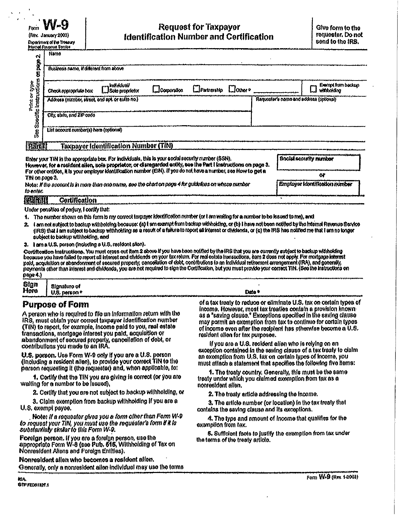$r_{\text{com}}$  W  $\Theta$  Request for Taxpayer  $\left|\begin{array}{c} \text{Give form to the}\end{array}\right|$ (Ray. January 2003) (Ray. January 2003) dentification Number and Certification served bend to the IRS.

| N               | Nama                                            |                                             |               |                                        |  |                                         |  |
|-----------------|-------------------------------------------------|---------------------------------------------|---------------|----------------------------------------|--|-----------------------------------------|--|
| ĝ<br>P<br>8     | Business name, if different from above          |                                             |               |                                        |  |                                         |  |
| t type<br>Kidne | Check appropriate box                           | [[] kwiwkiwaw<br>[[] Sole proprietor        | LJCorporation | $\Box$ Pathership $\Box$ Other $\circ$ |  |                                         |  |
| ina<br>1<br>Ĕ   | Address (number, street, and spt. or sulto no.) |                                             |               |                                        |  | Requester's name and address (optional) |  |
| <b>Specific</b> | City, slato, and ZiP cods                       |                                             |               |                                        |  |                                         |  |
| 男               | List account number(s) here (options)           |                                             |               |                                        |  |                                         |  |
| PATH            |                                                 | <b>Taxpayer Identification Number (TIN)</b> |               |                                        |  |                                         |  |

| Enter your TIN in the appropriate box. For individuals, this is your social security number (SSN).<br>However, for a resident allen, sole proprietor, or disregarded entity, see the Part I instructions on page 3.<br>For other entities, it is your employer identification number (EIN). If you do not have a number, see How to get a<br>Thi on page 3. | <b>Boold security number</b>   |
|-------------------------------------------------------------------------------------------------------------------------------------------------------------------------------------------------------------------------------------------------------------------------------------------------------------------------------------------------------------|--------------------------------|
| Note: if the account is in mem than one name, see the chart on page 4 for guidelines on whose number<br>to enlor.                                                                                                                                                                                                                                           | Employer Identification number |
| 再对控制<br>Cortification                                                                                                                                                                                                                                                                                                                                       |                                |

Under penables of periury, I certify that:

- 1. 1. 1. The number of perfume that the second temperature of the matter of the matter of the number of perfume<br>1. The number shown on this form is my correct texpayer identification number (or I am waiting for a number to
- Lam not aublect to backup withholding because: (a) it am exempt from backup withholding, or (b) I have not been notified by the frientel Revenue Bervice (IRS) that I am subject to backup withholding as a result of a fakine to report all interest or dividends, or (o) the IRS has notified me that I am no longer aubject to backup withholding, and

3. lam a U.S. person (including a U.S. resident allen).

Cordification Instructions. You must crosp out item 2 above if you have been notified by the IRS that you are currently subject to backup withholding because you have failed to report all interest and dividends on your fax return. For red estate fransactions, kem 2 does not opply. For mortgage interest<br>paid, acquisition or abandonment of secured property, cencellation o

| the little date what asked the article article and the mouth reduces in which can account with a security that are the security and construction of the second state and the second state of the second state and the second s |                          |                                                                                                                                                                                                                                                                                                                        |  |  |
|--------------------------------------------------------------------------------------------------------------------------------------------------------------------------------------------------------------------------------|--------------------------|------------------------------------------------------------------------------------------------------------------------------------------------------------------------------------------------------------------------------------------------------------------------------------------------------------------------|--|--|
| page 4.<br>بمستواباته بعذبت بابابارا والمعاصمة وموضعات والمتحصة فالتحصد<br>الاحتراج ومستمر استشهدت المتأسف المتابعة والشابعين والأجنان والترابية لإنان وارتق والمتعاطف المتحدث والمناد                                         |                          |                                                                                                                                                                                                                                                                                                                        |  |  |
|                                                                                                                                                                                                                                |                          |                                                                                                                                                                                                                                                                                                                        |  |  |
|                                                                                                                                                                                                                                |                          |                                                                                                                                                                                                                                                                                                                        |  |  |
|                                                                                                                                                                                                                                | Signature of             |                                                                                                                                                                                                                                                                                                                        |  |  |
| Sign<br>Here                                                                                                                                                                                                                   | U.S. person <sup>o</sup> | Date '                                                                                                                                                                                                                                                                                                                 |  |  |
|                                                                                                                                                                                                                                |                          | www.character.com/post-type.com/post-type=type=type=type=type=thtyte=tht=type=t+we=t<br>is a major parameter and manuscript and and appropriate that the state of the state of the state of the state of the state of the state of the state of the state of the state of the state of the state of the state of the s |  |  |

transactions, mortgage interest you paid, acquisition of execution of estident alten for tax purposes.<br>abandonment of secured property, cancellation of debt, or executions of the secured property, cancellation of<br>contribut

U.S. person. Use Form W-9 only if you are a U.S. person<br>(including a resident alten), to provide your correct TIN to the<br>person requesting it (the requester) and, when applicable, to:<br>person requesting it (the requester) a

1. Cortlfy that the TIN you are giving is correct (or you are treaty under which you dalmed exemption from tax as a walling for a number to be issued), walling for a number to be issued),

2. Certify that you are not subject to backup withholding, or

3. Claim exemption from backup wlfhholdlng If you are a U.S. exempt payee.

Note: if a requester gives you a form other than Form W-9 to roqueat your TIN. you mu~t use the requiltder's fotm It It *Is*  subslantialy simiar (o tills Form W-9.

Foreign person. If you are a foreign person, use the appropriato Form W-8 (s<del>ee</del> Pub, 515, Withholding of Tax on Nonresident Aliens and Foreign Entities).

HQnresfdent allen who becomes a resident allen. Generally, only a nonresident allen individual may use the terms

Purpose of Form **of the new states** of a tax treaty to reduce or eliminate U.S. tax on certain types of Income. However, most tex treaties contain a provision known-A person who is required to file an information return with the as a 'saving dause.' Exceptions opecified in the saving clause<br>IRS, must obtain your correct texpayer identification number may permit an exemption from tax t TiN) to report, for example, income paid to you, real estate<br>transactions, mortgage interest you paid, acquisition or resident allen for the rediplement has otherwise become a U.S.

1. The treaty country, Generally, this must be the same

2. The treaty article addressing the Income.

3. The article number (or location) In the tax treaty that contains the saving cleuse and its exceptions.

4. The type and ernount of Income that qualifies for the exemption from tax.

6. Suffielent faelo to justify tho exemption from tex under the terms of the treaty article.